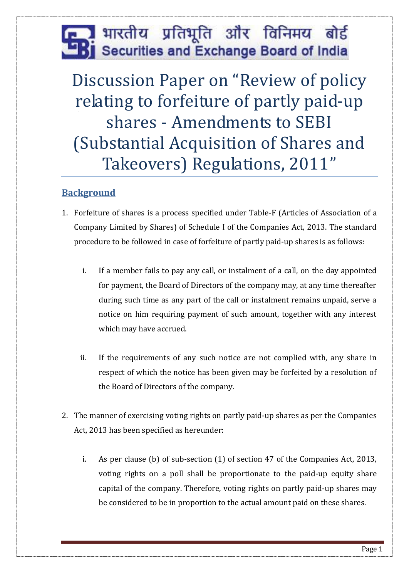# भारतीय प्रतिभूति और विनिमय बोर्ड Securities and Exchange Board of India

Discussion Paper on "Review of policy relating to forfeiture of partly paid-up shares - Amendments to SEBI (Substantial Acquisition of Shares and Takeovers) Regulations, 2011"

## **Background**

- 1. Forfeiture of shares is a process specified under Table-F (Articles of Association of a Company Limited by Shares) of Schedule I of the Companies Act, 2013. The standard procedure to be followed in case of forfeiture of partly paid-up shares is as follows:
	- i. If a member fails to pay any call, or instalment of a call, on the day appointed for payment, the Board of Directors of the company may, at any time thereafter during such time as any part of the call or instalment remains unpaid, serve a notice on him requiring payment of such amount, together with any interest which may have accrued.
	- ii. If the requirements of any such notice are not complied with, any share in respect of which the notice has been given may be forfeited by a resolution of the Board of Directors of the company.
- 2. The manner of exercising voting rights on partly paid-up shares as per the Companies Act, 2013 has been specified as hereunder:
	- i. As per clause (b) of sub-section (1) of section 47 of the Companies Act, 2013, voting rights on a poll shall be proportionate to the paid-up equity share capital of the company. Therefore, voting rights on partly paid-up shares may be considered to be in proportion to the actual amount paid on these shares.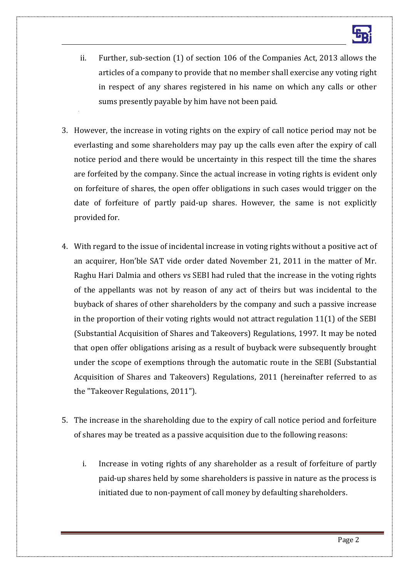- ii. Further, sub-section (1) of section 106 of the Companies Act, 2013 allows the articles of a company to provide that no member shall exercise any voting right in respect of any shares registered in his name on which any calls or other sums presently payable by him have not been paid.
- 3. However, the increase in voting rights on the expiry of call notice period may not be everlasting and some shareholders may pay up the calls even after the expiry of call notice period and there would be uncertainty in this respect till the time the shares are forfeited by the company. Since the actual increase in voting rights is evident only on forfeiture of shares, the open offer obligations in such cases would trigger on the date of forfeiture of partly paid-up shares. However, the same is not explicitly provided for.
- 4. With regard to the issue of incidental increase in voting rights without a positive act of an acquirer, Hon'ble SAT vide order dated November 21, 2011 in the matter of Mr. Raghu Hari Dalmia and others vs SEBI had ruled that the increase in the voting rights of the appellants was not by reason of any act of theirs but was incidental to the buyback of shares of other shareholders by the company and such a passive increase in the proportion of their voting rights would not attract regulation 11(1) of the SEBI (Substantial Acquisition of Shares and Takeovers) Regulations, 1997. It may be noted that open offer obligations arising as a result of buyback were subsequently brought under the scope of exemptions through the automatic route in the SEBI (Substantial Acquisition of Shares and Takeovers) Regulations, 2011 (hereinafter referred to as the "Takeover Regulations, 2011").
- 5. The increase in the shareholding due to the expiry of call notice period and forfeiture of shares may be treated as a passive acquisition due to the following reasons:
	- i. Increase in voting rights of any shareholder as a result of forfeiture of partly paid-up shares held by some shareholders is passive in nature as the process is initiated due to non-payment of call money by defaulting shareholders.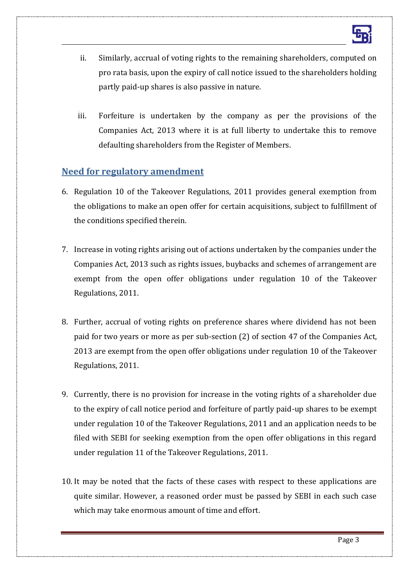- ii. Similarly, accrual of voting rights to the remaining shareholders, computed on pro rata basis, upon the expiry of call notice issued to the shareholders holding partly paid-up shares is also passive in nature.
- iii. Forfeiture is undertaken by the company as per the provisions of the Companies Act, 2013 where it is at full liberty to undertake this to remove defaulting shareholders from the Register of Members.

### **Need for regulatory amendment**

- 6. Regulation 10 of the Takeover Regulations, 2011 provides general exemption from the obligations to make an open offer for certain acquisitions, subject to fulfillment of the conditions specified therein.
- 7. Increase in voting rights arising out of actions undertaken by the companies under the Companies Act, 2013 such as rights issues, buybacks and schemes of arrangement are exempt from the open offer obligations under regulation 10 of the Takeover Regulations, 2011.
- 8. Further, accrual of voting rights on preference shares where dividend has not been paid for two years or more as per sub-section (2) of section 47 of the Companies Act, 2013 are exempt from the open offer obligations under regulation 10 of the Takeover Regulations, 2011.
- 9. Currently, there is no provision for increase in the voting rights of a shareholder due to the expiry of call notice period and forfeiture of partly paid-up shares to be exempt under regulation 10 of the Takeover Regulations, 2011 and an application needs to be filed with SEBI for seeking exemption from the open offer obligations in this regard under regulation 11 of the Takeover Regulations, 2011.
- 10. It may be noted that the facts of these cases with respect to these applications are quite similar. However, a reasoned order must be passed by SEBI in each such case which may take enormous amount of time and effort.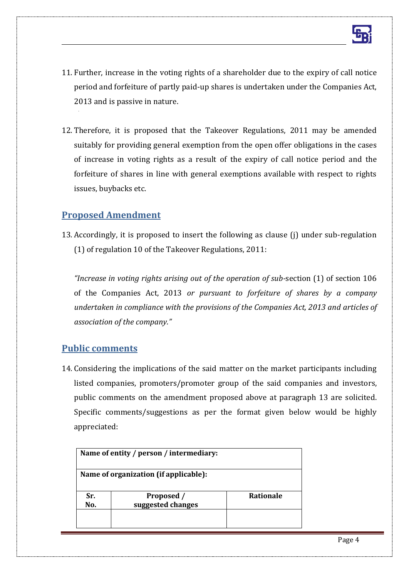

- 11. Further, increase in the voting rights of a shareholder due to the expiry of call notice period and forfeiture of partly paid-up shares is undertaken under the Companies Act, 2013 and is passive in nature.
- 12. Therefore, it is proposed that the Takeover Regulations, 2011 may be amended suitably for providing general exemption from the open offer obligations in the cases of increase in voting rights as a result of the expiry of call notice period and the forfeiture of shares in line with general exemptions available with respect to rights issues, buybacks etc.

#### **Proposed Amendment**

13. Accordingly, it is proposed to insert the following as clause (j) under sub-regulation (1) of regulation 10 of the Takeover Regulations, 2011:

*"Increase in voting rights arising out of the operation of sub-*section (1) of section 106 of the Companies Act, 2013 *or pursuant to forfeiture of shares by a company undertaken in compliance with the provisions of the Companies Act, 2013 and articles of association of the company."*

#### **Public comments**

14. Considering the implications of the said matter on the market participants including listed companies, promoters/promoter group of the said companies and investors, public comments on the amendment proposed above at paragraph 13 are solicited. Specific comments/suggestions as per the format given below would be highly appreciated:

| Name of entity / person / intermediary:<br>Name of organization (if applicable): |                   |  |
|----------------------------------------------------------------------------------|-------------------|--|
|                                                                                  |                   |  |
| No.                                                                              | suggested changes |  |
|                                                                                  |                   |  |